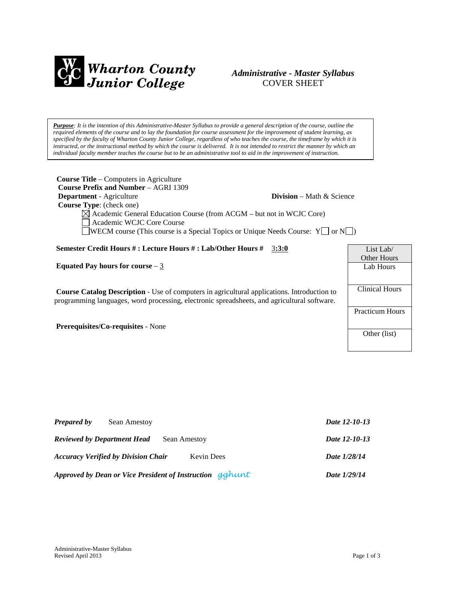

# *Administrative - Master Syllabus*  COVER SHEET

*Purpose: It is the intention of this Administrative-Master Syllabus to provide a general description of the course, outline the required elements of the course and to lay the foundation for course assessment for the improvement of student learning, as specified by the faculty of Wharton County Junior College, regardless of who teaches the course, the timeframe by which it is instructed, or the instructional method by which the course is delivered. It is not intended to restrict the manner by which an individual faculty member teaches the course but to be an administrative tool to aid in the improvement of instruction.*

| <b>Course Title</b> – Computers in Agriculture<br><b>Course Prefix and Number – AGRI 1309</b><br>Department - Agriculture<br><b>Division</b> – Math & Science<br>Course Type: (check one)<br>$\boxtimes$ Academic General Education Course (from ACGM – but not in WCJC Core) |  |                                        |  |  |
|-------------------------------------------------------------------------------------------------------------------------------------------------------------------------------------------------------------------------------------------------------------------------------|--|----------------------------------------|--|--|
| Academic WCJC Core Course<br><b>WECM</b> course (This course is a Special Topics or Unique Needs Course: $Y \cap N$ )                                                                                                                                                         |  |                                        |  |  |
| Semester Credit Hours #: Lecture Hours #: Lab/Other Hours #<br>3:3:0                                                                                                                                                                                                          |  | List Lab $\ell$                        |  |  |
|                                                                                                                                                                                                                                                                               |  | Other Hours                            |  |  |
| Equated Pay hours for course $-3$                                                                                                                                                                                                                                             |  | Lab Hours                              |  |  |
| <b>Course Catalog Description</b> - Use of computers in agricultural applications. Introduction to<br>programming languages, word processing, electronic spreadsheets, and agricultural software.                                                                             |  | <b>Clinical Hours</b>                  |  |  |
| <b>Prerequisites/Co-requisites - None</b>                                                                                                                                                                                                                                     |  | <b>Practicum Hours</b><br>Other (list) |  |  |

| <b>Prepared by</b><br>Sean Amestoy                              | Date 12-10-13 |
|-----------------------------------------------------------------|---------------|
| <b>Reviewed by Department Head</b><br>Sean Amestoy              | Date 12-10-13 |
| <b>Accuracy Verified by Division Chair</b><br><b>Kevin</b> Dees | Date 1/28/14  |
| Approved by Dean or Vice President of Instruction gghunt        | Date 1/29/14  |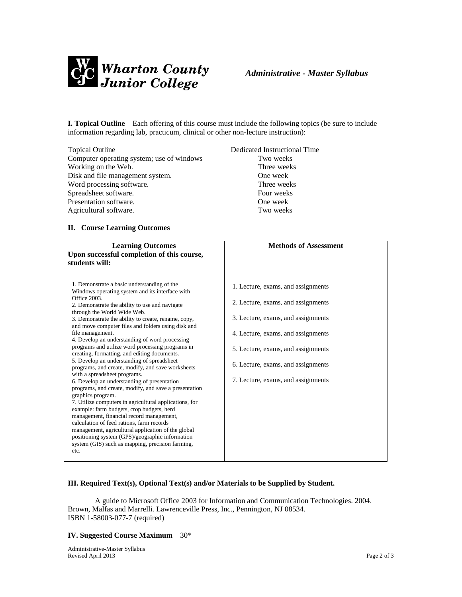

**I. Topical Outline** – Each offering of this course must include the following topics (be sure to include information regarding lab, practicum, clinical or other non-lecture instruction):

| <b>Topical Outline</b>                    | Dedicated Instructional Time |
|-------------------------------------------|------------------------------|
| Computer operating system; use of windows | Two weeks                    |
| Working on the Web.                       | Three weeks                  |
| Disk and file management system.          | One week                     |
| Word processing software.                 | Three weeks                  |
| Spreadsheet software.                     | Four weeks                   |
| Presentation software.                    | One week                     |
| Agricultural software.                    | Two weeks                    |

## **II. Course Learning Outcomes**

| <b>Learning Outcomes</b>                                                                                  | <b>Methods of Assessment</b>       |  |
|-----------------------------------------------------------------------------------------------------------|------------------------------------|--|
| Upon successful completion of this course,                                                                |                                    |  |
| students will:                                                                                            |                                    |  |
|                                                                                                           |                                    |  |
|                                                                                                           |                                    |  |
| 1. Demonstrate a basic understanding of the                                                               | 1. Lecture, exams, and assignments |  |
| Windows operating system and its interface with                                                           |                                    |  |
| Office 2003.                                                                                              | 2. Lecture, exams, and assignments |  |
| 2. Demonstrate the ability to use and navigate                                                            |                                    |  |
| through the World Wide Web.                                                                               | 3. Lecture, exams, and assignments |  |
| 3. Demonstrate the ability to create, rename, copy,<br>and move computer files and folders using disk and |                                    |  |
| file management.                                                                                          | 4. Lecture, exams, and assignments |  |
| 4. Develop an understanding of word processing                                                            |                                    |  |
| programs and utilize word processing programs in                                                          |                                    |  |
| creating, formatting, and editing documents.                                                              | 5. Lecture, exams, and assignments |  |
| 5. Develop an understanding of spreadsheet                                                                |                                    |  |
| programs, and create, modify, and save worksheets                                                         | 6. Lecture, exams, and assignments |  |
| with a spreadsheet programs.                                                                              |                                    |  |
| 6. Develop an understanding of presentation                                                               | 7. Lecture, exams, and assignments |  |
| programs, and create, modify, and save a presentation                                                     |                                    |  |
| graphics program.                                                                                         |                                    |  |
| 7. Utilize computers in agricultural applications, for<br>example: farm budgets, crop budgets, herd       |                                    |  |
| management, financial record management,                                                                  |                                    |  |
| calculation of feed rations, farm records                                                                 |                                    |  |
| management, agricultural application of the global                                                        |                                    |  |
| positioning system (GPS)/geographic information                                                           |                                    |  |
| system (GIS) such as mapping, precision farming,                                                          |                                    |  |
| etc.                                                                                                      |                                    |  |
|                                                                                                           |                                    |  |

### **III. Required Text(s), Optional Text(s) and/or Materials to be Supplied by Student.**

A guide to Microsoft Office 2003 for Information and Communication Technologies. 2004. Brown, Malfas and Marrelli. Lawrenceville Press, Inc., Pennington, NJ 08534. ISBN 1-58003-077-7 (required)

## **IV. Suggested Course Maximum** – 30\*